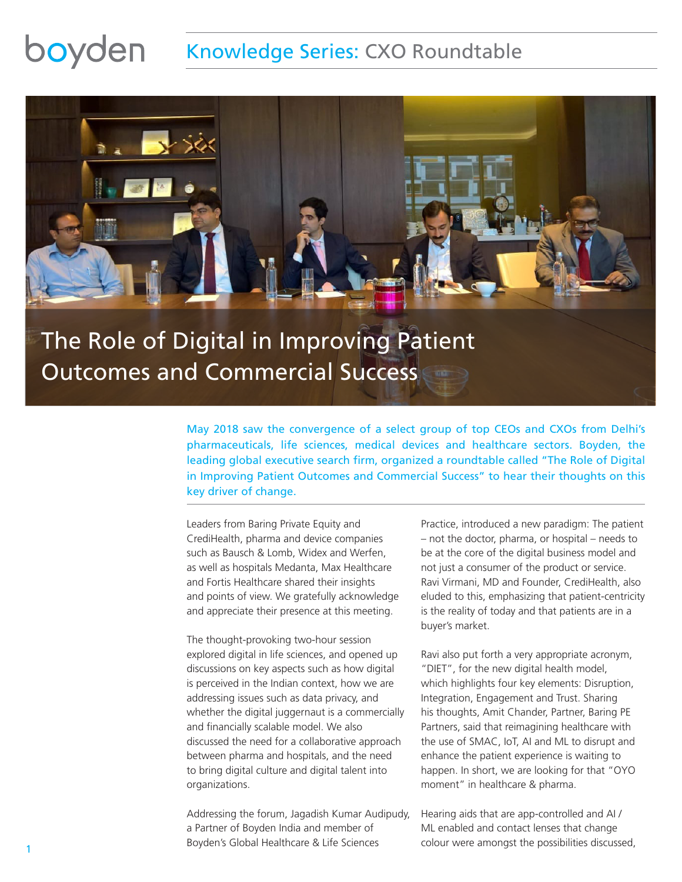### boyden Knowledge Series: CXO Roundtable



# The Role of Digital in Improving Patient Outcomes and Commercial Success

May 2018 saw the convergence of a select group of top CEOs and CXOs from Delhi's pharmaceuticals, life sciences, medical devices and healthcare sectors. Boyden, the leading global executive search firm, organized a roundtable called "The Role of Digital in Improving Patient Outcomes and Commercial Success" to hear their thoughts on this key driver of change.

Leaders from Baring Private Equity and CrediHealth, pharma and device companies such as Bausch & Lomb, Widex and Werfen, as well as hospitals Medanta, Max Healthcare and Fortis Healthcare shared their insights and points of view. We gratefully acknowledge and appreciate their presence at this meeting.

The thought-provoking two-hour session explored digital in life sciences, and opened up discussions on key aspects such as how digital is perceived in the Indian context, how we are addressing issues such as data privacy, and whether the digital juggernaut is a commercially and financially scalable model. We also discussed the need for a collaborative approach between pharma and hospitals, and the need to bring digital culture and digital talent into organizations.

Addressing the forum, Jagadish Kumar Audipudy, a Partner of Boyden India and member of Boyden's Global Healthcare & Life Sciences

Practice, introduced a new paradigm: The patient – not the doctor, pharma, or hospital – needs to be at the core of the digital business model and not just a consumer of the product or service. Ravi Virmani, MD and Founder, CrediHealth, also eluded to this, emphasizing that patient-centricity is the reality of today and that patients are in a buyer's market.

Ravi also put forth a very appropriate acronym, "DIET", for the new digital health model, which highlights four key elements: Disruption, Integration, Engagement and Trust. Sharing his thoughts, Amit Chander, Partner, Baring PE Partners, said that reimagining healthcare with the use of SMAC, IoT, AI and ML to disrupt and enhance the patient experience is waiting to happen. In short, we are looking for that "OYO moment" in healthcare & pharma.

Hearing aids that are app-controlled and AI / ML enabled and contact lenses that change colour were amongst the possibilities discussed,